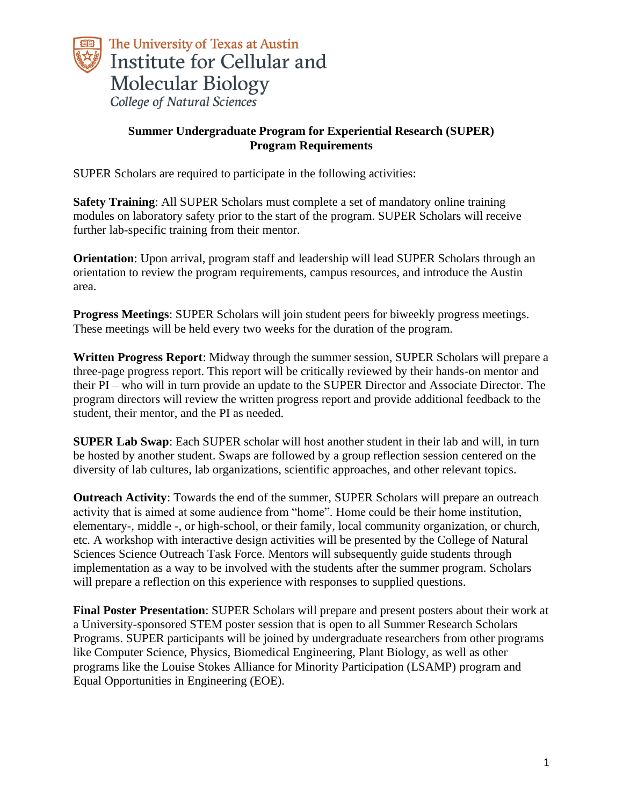

## **Summer Undergraduate Program for Experiential Research (SUPER) Program Requirements**

SUPER Scholars are required to participate in the following activities:

**Safety Training**: All SUPER Scholars must complete a set of mandatory online training modules on laboratory safety prior to the start of the program. SUPER Scholars will receive further lab-specific training from their mentor.

**Orientation**: Upon arrival, program staff and leadership will lead SUPER Scholars through an orientation to review the program requirements, campus resources, and introduce the Austin area.

**Progress Meetings**: SUPER Scholars will join student peers for biweekly progress meetings. These meetings will be held every two weeks for the duration of the program.

**Written Progress Report**: Midway through the summer session, SUPER Scholars will prepare a three-page progress report. This report will be critically reviewed by their hands-on mentor and their PI – who will in turn provide an update to the SUPER Director and Associate Director. The program directors will review the written progress report and provide additional feedback to the student, their mentor, and the PI as needed.

**SUPER Lab Swap**: Each SUPER scholar will host another student in their lab and will, in turn be hosted by another student. Swaps are followed by a group reflection session centered on the diversity of lab cultures, lab organizations, scientific approaches, and other relevant topics.

**Outreach Activity**: Towards the end of the summer, SUPER Scholars will prepare an outreach activity that is aimed at some audience from "home". Home could be their home institution, elementary-, middle -, or high-school, or their family, local community organization, or church, etc. A workshop with interactive design activities will be presented by the College of Natural Sciences Science Outreach Task Force. Mentors will subsequently guide students through implementation as a way to be involved with the students after the summer program. Scholars will prepare a reflection on this experience with responses to supplied questions.

**Final Poster Presentation**: SUPER Scholars will prepare and present posters about their work at a University-sponsored STEM poster session that is open to all Summer Research Scholars Programs. SUPER participants will be joined by undergraduate researchers from other programs like Computer Science, Physics, Biomedical Engineering, Plant Biology, as well as other programs like the Louise Stokes Alliance for Minority Participation (LSAMP) program and Equal Opportunities in Engineering (EOE).